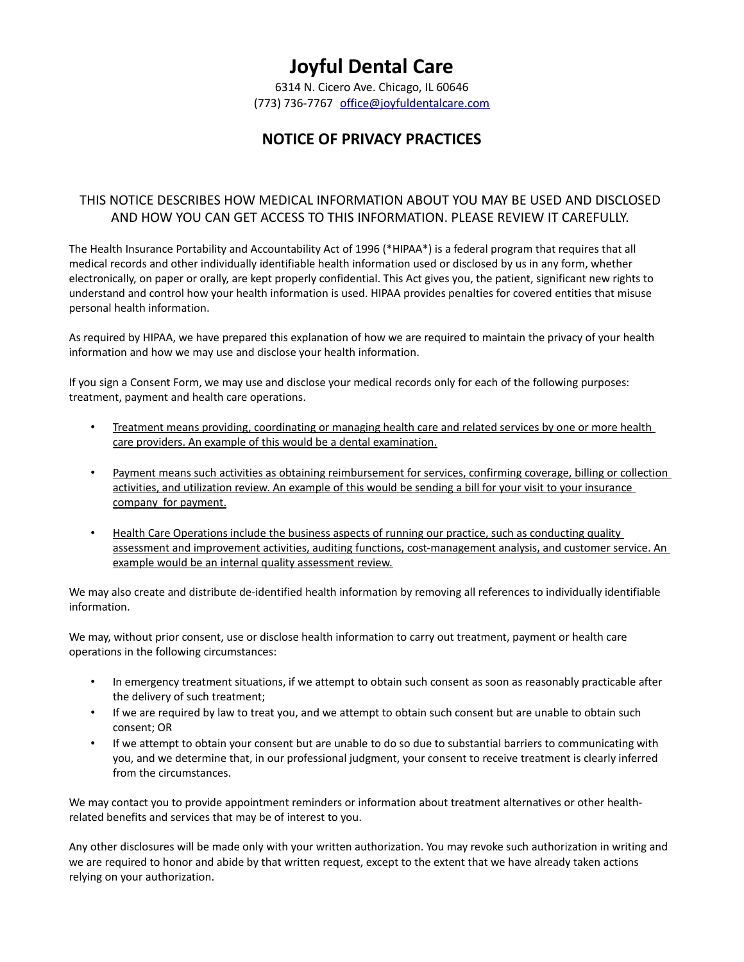## **Joyful Dental Care**

6314 N. Cicero Ave. Chicago, IL 60646 (773) 736-7767 [office@joyfuldentalcare.com](mailto:office@joyfuldentalcare.com)

## **NOTICE OF PRIVACY PRACTICES**

## THIS NOTICE DESCRIBES HOW MEDICAL INFORMATION ABOUT YOU MAY BE USED AND DISCLOSED AND HOW YOU CAN GET ACCESS TO THIS INFORMATION. PLEASE REVIEW IT CAREFULLY.

The Health Insurance Portability and Accountability Act of 1996 (\*HIPAA\*) is a federal program that requires that all medical records and other individually identifiable health information used or disclosed by us in any form, whether electronically, on paper or orally, are kept properly confidential. This Act gives you, the patient, significant new rights to understand and control how your health information is used. HIPAA provides penalties for covered entities that misuse personal health information.

As required by HIPAA, we have prepared this explanation of how we are required to maintain the privacy of your health information and how we may use and disclose your health information.

If you sign a Consent Form, we may use and disclose your medical records only for each of the following purposes: treatment, payment and health care operations.

- Treatment means providing, coordinating or managing health care and related services by one or more health care providers. An example of this would be a dental examination.
- Payment means such activities as obtaining reimbursement for services, confirming coverage, billing or collection activities, and utilization review. An example of this would be sending a bill for your visit to your insurance company for payment.
- Health Care Operations include the business aspects of running our practice, such as conducting quality assessment and improvement activities, auditing functions, cost-management analysis, and customer service. An example would be an internal quality assessment review.

We may also create and distribute de‐identified health information by removing all references to individually identifiable information.

We may, without prior consent, use or disclose health information to carry out treatment, payment or health care operations in the following circumstances:

- In emergency treatment situations, if we attempt to obtain such consent as soon as reasonably practicable after the delivery of such treatment;
- If we are required by law to treat you, and we attempt to obtain such consent but are unable to obtain such consent; OR
- If we attempt to obtain your consent but are unable to do so due to substantial barriers to communicating with you, and we determine that, in our professional judgment, your consent to receive treatment is clearly inferred from the circumstances.

We may contact you to provide appointment reminders or information about treatment alternatives or other healthrelated benefits and services that may be of interest to you.

Any other disclosures will be made only with your written authorization. You may revoke such authorization in writing and we are required to honor and abide by that written request, except to the extent that we have already taken actions relying on your authorization.